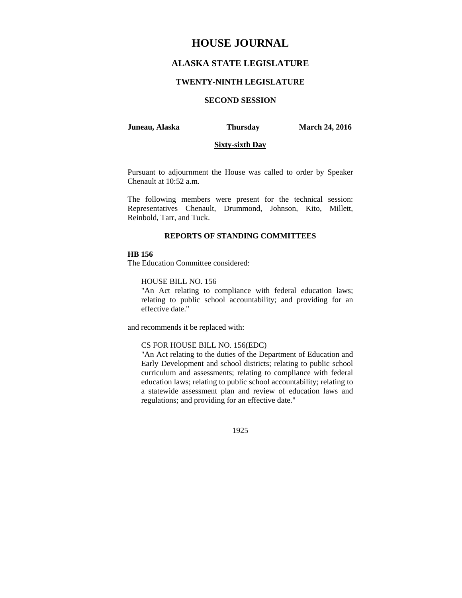# **HOUSE JOURNAL**

## **ALASKA STATE LEGISLATURE**

#### **TWENTY-NINTH LEGISLATURE**

## **SECOND SESSION**

#### **Juneau, Alaska Thursday March 24, 2016**

### **Sixty-sixth Day**

Pursuant to adjournment the House was called to order by Speaker Chenault at 10:52 a.m.

The following members were present for the technical session: Representatives Chenault, Drummond, Johnson, Kito, Millett, Reinbold, Tarr, and Tuck.

#### **REPORTS OF STANDING COMMITTEES**

## **HB 156**

The Education Committee considered:

HOUSE BILL NO. 156

"An Act relating to compliance with federal education laws; relating to public school accountability; and providing for an effective date."

and recommends it be replaced with:

#### CS FOR HOUSE BILL NO. 156(EDC)

"An Act relating to the duties of the Department of Education and Early Development and school districts; relating to public school curriculum and assessments; relating to compliance with federal education laws; relating to public school accountability; relating to a statewide assessment plan and review of education laws and regulations; and providing for an effective date."

1925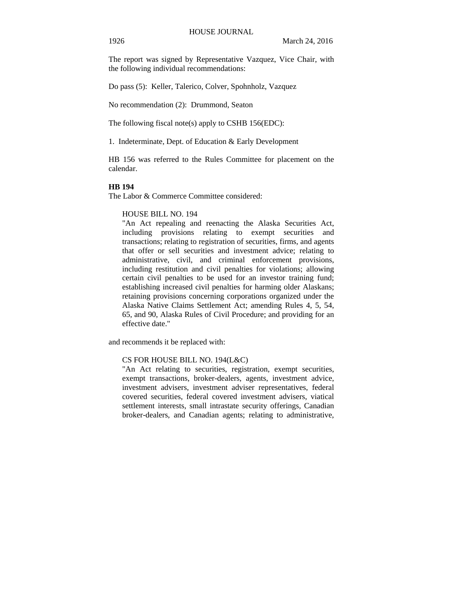The report was signed by Representative Vazquez, Vice Chair, with the following individual recommendations:

Do pass (5): Keller, Talerico, Colver, Spohnholz, Vazquez

No recommendation (2): Drummond, Seaton

The following fiscal note(s) apply to CSHB 156(EDC):

1. Indeterminate, Dept. of Education & Early Development

HB 156 was referred to the Rules Committee for placement on the calendar.

## **HB 194**

The Labor & Commerce Committee considered:

#### HOUSE BILL NO. 194

"An Act repealing and reenacting the Alaska Securities Act, including provisions relating to exempt securities and transactions; relating to registration of securities, firms, and agents that offer or sell securities and investment advice; relating to administrative, civil, and criminal enforcement provisions, including restitution and civil penalties for violations; allowing certain civil penalties to be used for an investor training fund; establishing increased civil penalties for harming older Alaskans; retaining provisions concerning corporations organized under the Alaska Native Claims Settlement Act; amending Rules 4, 5, 54, 65, and 90, Alaska Rules of Civil Procedure; and providing for an effective date."

and recommends it be replaced with:

#### CS FOR HOUSE BILL NO. 194(L&C)

"An Act relating to securities, registration, exempt securities, exempt transactions, broker-dealers, agents, investment advice, investment advisers, investment adviser representatives, federal covered securities, federal covered investment advisers, viatical settlement interests, small intrastate security offerings, Canadian broker-dealers, and Canadian agents; relating to administrative,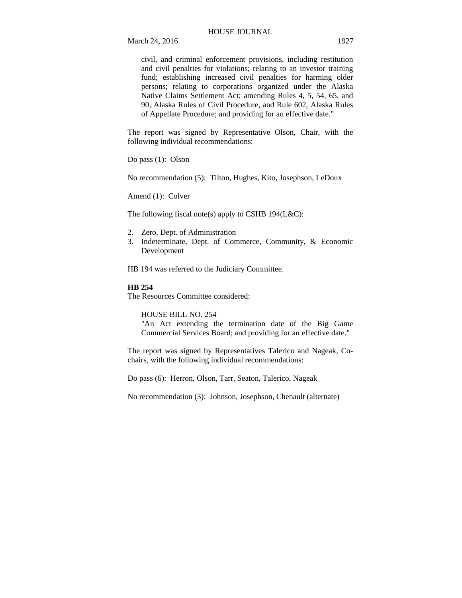March 24, 2016 1927

civil, and criminal enforcement provisions, including restitution and civil penalties for violations; relating to an investor training fund; establishing increased civil penalties for harming older persons; relating to corporations organized under the Alaska Native Claims Settlement Act; amending Rules 4, 5, 54, 65, and 90, Alaska Rules of Civil Procedure, and Rule 602, Alaska Rules of Appellate Procedure; and providing for an effective date."

The report was signed by Representative Olson, Chair, with the following individual recommendations:

Do pass (1): Olson

No recommendation (5): Tilton, Hughes, Kito, Josephson, LeDoux

Amend (1): Colver

The following fiscal note(s) apply to CSHB 194(L&C):

- 2. Zero, Dept. of Administration
- 3. Indeterminate, Dept. of Commerce, Community, & Economic Development

HB 194 was referred to the Judiciary Committee.

### **HB 254**

The Resources Committee considered:

HOUSE BILL NO. 254

"An Act extending the termination date of the Big Game Commercial Services Board; and providing for an effective date."

The report was signed by Representatives Talerico and Nageak, Cochairs, with the following individual recommendations:

Do pass (6): Herron, Olson, Tarr, Seaton, Talerico, Nageak

No recommendation (3): Johnson, Josephson, Chenault (alternate)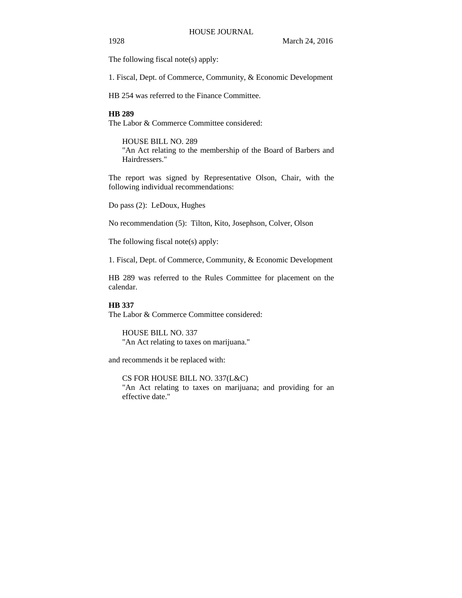The following fiscal note(s) apply:

1. Fiscal, Dept. of Commerce, Community, & Economic Development

HB 254 was referred to the Finance Committee.

### **HB 289**

The Labor & Commerce Committee considered:

HOUSE BILL NO. 289 "An Act relating to the membership of the Board of Barbers and Hairdressers."

The report was signed by Representative Olson, Chair, with the following individual recommendations:

Do pass (2): LeDoux, Hughes

No recommendation (5): Tilton, Kito, Josephson, Colver, Olson

The following fiscal note(s) apply:

1. Fiscal, Dept. of Commerce, Community, & Economic Development

HB 289 was referred to the Rules Committee for placement on the calendar.

#### **HB 337**

The Labor & Commerce Committee considered:

HOUSE BILL NO. 337 "An Act relating to taxes on marijuana."

and recommends it be replaced with:

CS FOR HOUSE BILL NO. 337(L&C) "An Act relating to taxes on marijuana; and providing for an effective date."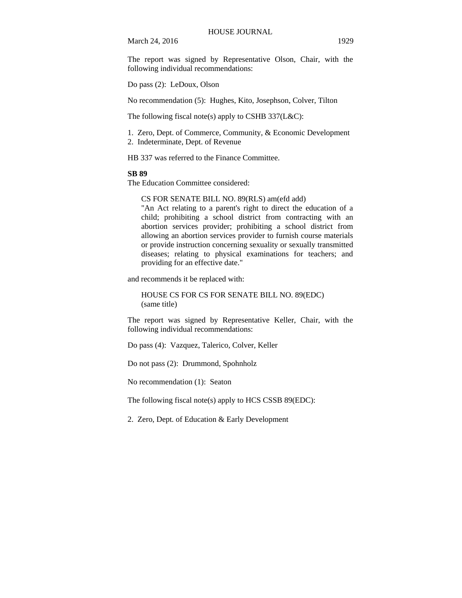March 24, 2016 1929

The report was signed by Representative Olson, Chair, with the

Do pass (2): LeDoux, Olson

following individual recommendations:

No recommendation (5): Hughes, Kito, Josephson, Colver, Tilton

The following fiscal note(s) apply to CSHB 337(L&C):

1. Zero, Dept. of Commerce, Community, & Economic Development

2. Indeterminate, Dept. of Revenue

HB 337 was referred to the Finance Committee.

#### **SB 89**

The Education Committee considered:

CS FOR SENATE BILL NO. 89(RLS) am(efd add)

"An Act relating to a parent's right to direct the education of a child; prohibiting a school district from contracting with an abortion services provider; prohibiting a school district from allowing an abortion services provider to furnish course materials or provide instruction concerning sexuality or sexually transmitted diseases; relating to physical examinations for teachers; and providing for an effective date."

and recommends it be replaced with:

HOUSE CS FOR CS FOR SENATE BILL NO. 89(EDC) (same title)

The report was signed by Representative Keller, Chair, with the following individual recommendations:

Do pass (4): Vazquez, Talerico, Colver, Keller

Do not pass (2): Drummond, Spohnholz

No recommendation (1): Seaton

The following fiscal note(s) apply to HCS CSSB 89(EDC):

2. Zero, Dept. of Education & Early Development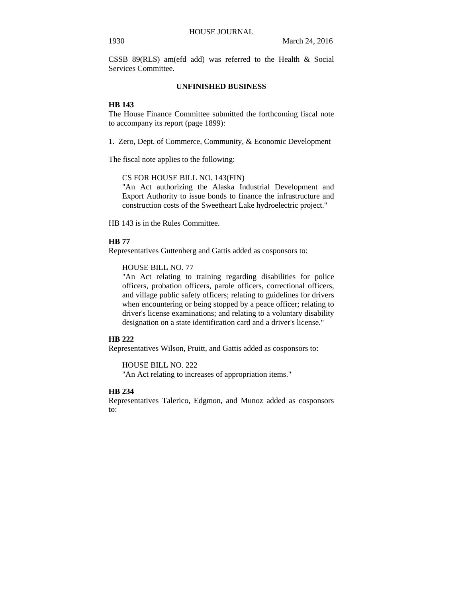CSSB 89(RLS) am(efd add) was referred to the Health & Social Services Committee.

## **UNFINISHED BUSINESS**

## **HB 143**

The House Finance Committee submitted the forthcoming fiscal note to accompany its report (page 1899):

1. Zero, Dept. of Commerce, Community, & Economic Development

The fiscal note applies to the following:

CS FOR HOUSE BILL NO. 143(FIN)

"An Act authorizing the Alaska Industrial Development and Export Authority to issue bonds to finance the infrastructure and construction costs of the Sweetheart Lake hydroelectric project."

HB 143 is in the Rules Committee.

#### **HB 77**

Representatives Guttenberg and Gattis added as cosponsors to:

### HOUSE BILL NO. 77

"An Act relating to training regarding disabilities for police officers, probation officers, parole officers, correctional officers, and village public safety officers; relating to guidelines for drivers when encountering or being stopped by a peace officer; relating to driver's license examinations; and relating to a voluntary disability designation on a state identification card and a driver's license."

### **HB 222**

Representatives Wilson, Pruitt, and Gattis added as cosponsors to:

## HOUSE BILL NO. 222

"An Act relating to increases of appropriation items."

## **HB 234**

Representatives Talerico, Edgmon, and Munoz added as cosponsors to: